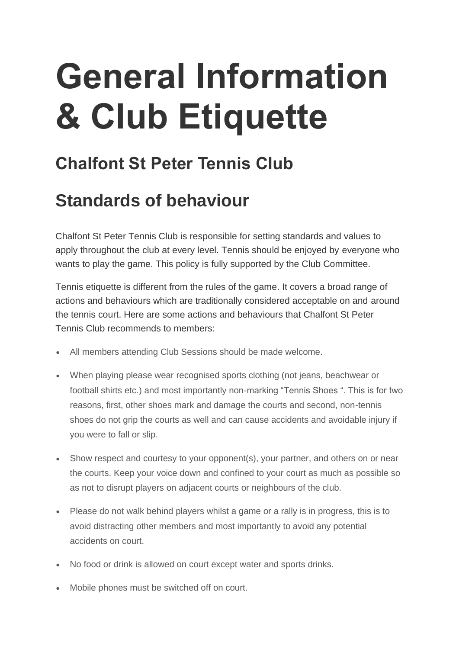# **General Information & Club Etiquette**

## **Chalfont St Peter Tennis Club**

#### **Standards of behaviour**

Chalfont St Peter Tennis Club is responsible for setting standards and values to apply throughout the club at every level. Tennis should be enjoyed by everyone who wants to play the game. This policy is fully supported by the Club Committee.

Tennis etiquette is different from the rules of the game. It covers a broad range of actions and behaviours which are traditionally considered acceptable on and around the tennis court. Here are some actions and behaviours that Chalfont St Peter Tennis Club recommends to members:

- All members attending Club Sessions should be made welcome.
- When playing please wear recognised sports clothing (not jeans, beachwear or football shirts etc.) and most importantly non-marking "Tennis Shoes ". This is for two reasons, first, other shoes mark and damage the courts and second, non-tennis shoes do not grip the courts as well and can cause accidents and avoidable injury if you were to fall or slip.
- Show respect and courtesy to your opponent(s), your partner, and others on or near the courts. Keep your voice down and confined to your court as much as possible so as not to disrupt players on adjacent courts or neighbours of the club.
- Please do not walk behind players whilst a game or a rally is in progress, this is to avoid distracting other members and most importantly to avoid any potential accidents on court.
- No food or drink is allowed on court except water and sports drinks.
- Mobile phones must be switched off on court.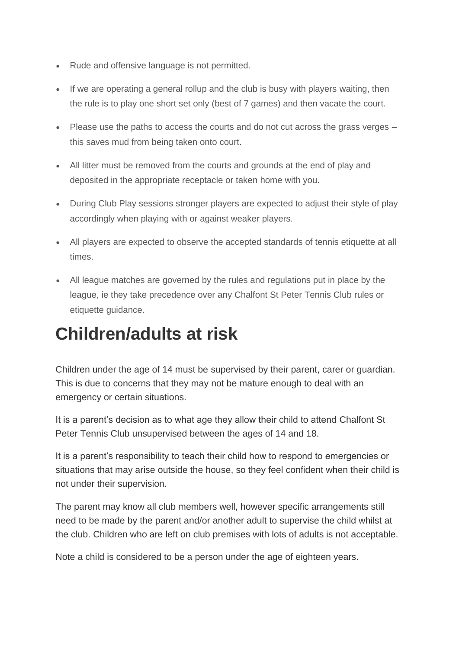- Rude and offensive language is not permitted.
- If we are operating a general rollup and the club is busy with players waiting, then the rule is to play one short set only (best of 7 games) and then vacate the court.
- Please use the paths to access the courts and do not cut across the grass verges this saves mud from being taken onto court.
- All litter must be removed from the courts and grounds at the end of play and deposited in the appropriate receptacle or taken home with you.
- During Club Play sessions stronger players are expected to adjust their style of play accordingly when playing with or against weaker players.
- All players are expected to observe the accepted standards of tennis etiquette at all times.
- All league matches are governed by the rules and regulations put in place by the league, ie they take precedence over any Chalfont St Peter Tennis Club rules or etiquette guidance.

#### **Children/adults at risk**

Children under the age of 14 must be supervised by their parent, carer or guardian. This is due to concerns that they may not be mature enough to deal with an emergency or certain situations.

It is a parent's decision as to what age they allow their child to attend Chalfont St Peter Tennis Club unsupervised between the ages of 14 and 18.

It is a parent's responsibility to teach their child how to respond to emergencies or situations that may arise outside the house, so they feel confident when their child is not under their supervision.

The parent may know all club members well, however specific arrangements still need to be made by the parent and/or another adult to supervise the child whilst at the club. Children who are left on club premises with lots of adults is not acceptable.

Note a child is considered to be a person under the age of eighteen years.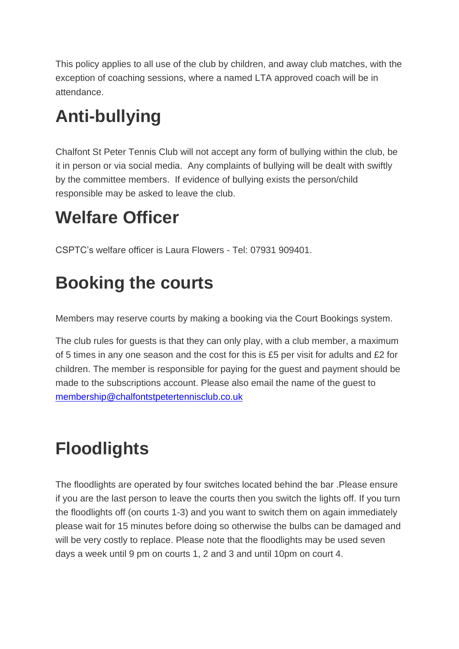This policy applies to all use of the club by children, and away club matches, with the exception of coaching sessions, where a named LTA approved coach will be in attendance.

# **Anti-bullying**

Chalfont St Peter Tennis Club will not accept any form of bullying within the club, be it in person or via social media. Any complaints of bullying will be dealt with swiftly by the committee members. If evidence of bullying exists the person/child responsible may be asked to leave the club.

# **Welfare Officer**

CSPTC's welfare officer is Laura Flowers - Tel: 07931 909401.

# **Booking the courts**

Members may reserve courts by making a booking via the Court Bookings system.

The club rules for guests is that they can only play, with a club member, a maximum of 5 times in any one season and the cost for this is £5 per visit for adults and £2 for children. The member is responsible for paying for the guest and payment should be made to the subscriptions account. Please also email the name of the guest to [membership@chalfontstpetertennisclub.co.uk](mailto:membership@chalfontstpetertennisclub.co.uk)

# **Floodlights**

The floodlights are operated by four switches located behind the bar .Please ensure if you are the last person to leave the courts then you switch the lights off. If you turn the floodlights off (on courts 1-3) and you want to switch them on again immediately please wait for 15 minutes before doing so otherwise the bulbs can be damaged and will be very costly to replace. Please note that the floodlights may be used seven days a week until 9 pm on courts 1, 2 and 3 and until 10pm on court 4.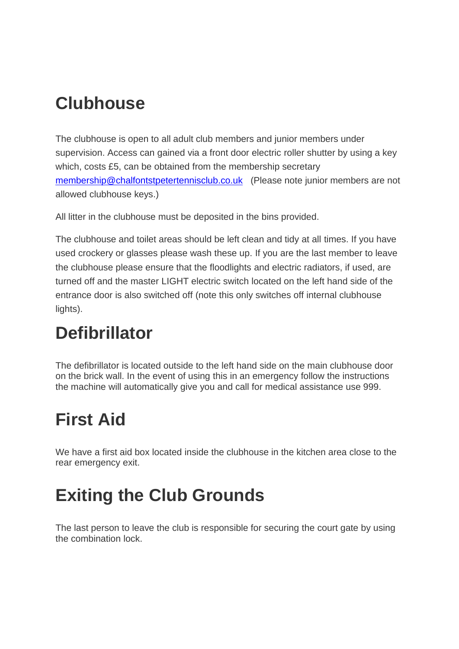## **Clubhouse**

The clubhouse is open to all adult club members and junior members under supervision. Access can gained via a front door electric roller shutter by using a key which, costs £5, can be obtained from the membership secretary [membership@chalfontstpetertennisclub.co.uk](mailto:membership@chalfontstpetertennisclub.co.uk) (Please note junior members are not allowed clubhouse keys.)

All litter in the clubhouse must be deposited in the bins provided.

The clubhouse and toilet areas should be left clean and tidy at all times. If you have used crockery or glasses please wash these up. If you are the last member to leave the clubhouse please ensure that the floodlights and electric radiators, if used, are turned off and the master LIGHT electric switch located on the left hand side of the entrance door is also switched off (note this only switches off internal clubhouse lights).

## **Defibrillator**

The defibrillator is located outside to the left hand side on the main clubhouse door on the brick wall. In the event of using this in an emergency follow the instructions the machine will automatically give you and call for medical assistance use 999.

## **First Aid**

We have a first aid box located inside the clubhouse in the kitchen area close to the rear emergency exit.

## **Exiting the Club Grounds**

The last person to leave the club is responsible for securing the court gate by using the combination lock.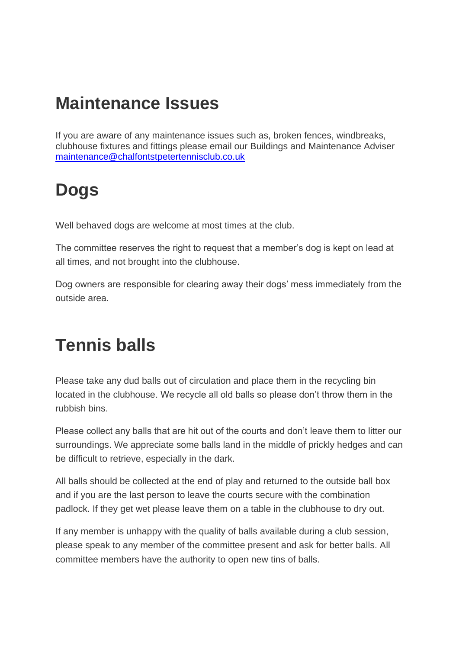#### **Maintenance Issues**

If you are aware of any maintenance issues such as, broken fences, windbreaks, clubhouse fixtures and fittings please email our Buildings and Maintenance Adviser [maintenance@chalfontstpetertennisclub.co.uk](mailto:maintenance@chalfontstpetertennisclub.co.uk) 

#### **Dogs**

Well behaved dogs are welcome at most times at the club.

The committee reserves the right to request that a member's dog is kept on lead at all times, and not brought into the clubhouse.

Dog owners are responsible for clearing away their dogs' mess immediately from the outside area.

#### **Tennis balls**

Please take any dud balls out of circulation and place them in the recycling bin located in the clubhouse. We recycle all old balls so please don't throw them in the rubbish bins.

Please collect any balls that are hit out of the courts and don't leave them to litter our surroundings. We appreciate some balls land in the middle of prickly hedges and can be difficult to retrieve, especially in the dark.

All balls should be collected at the end of play and returned to the outside ball box and if you are the last person to leave the courts secure with the combination padlock. If they get wet please leave them on a table in the clubhouse to dry out.

If any member is unhappy with the quality of balls available during a club session, please speak to any member of the committee present and ask for better balls. All committee members have the authority to open new tins of balls.